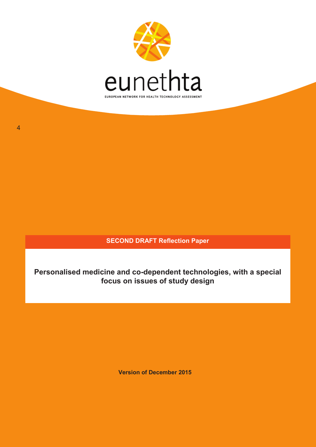

**SECOND DRAFT Reflection Paper**

**Personalised medicine and co-dependent technologies, with a special focus on issues of study design**

**Version of December 2015**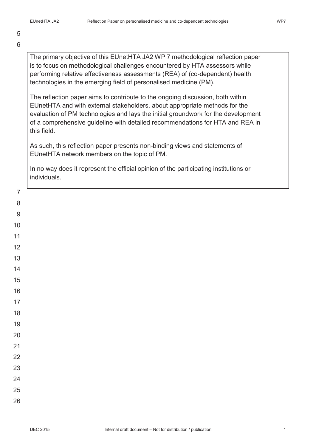5 6

> The primary objective of this EUnetHTA JA2 WP 7 methodological reflection paper is to focus on methodological challenges encountered by HTA assessors while performing relative effectiveness assessments (REA) of (co-dependent) health technologies in the emerging field of personalised medicine (PM).

> The reflection paper aims to contribute to the ongoing discussion, both within EUnetHTA and with external stakeholders, about appropriate methods for the evaluation of PM technologies and lays the initial groundwork for the development of a comprehensive guideline with detailed recommendations for HTA and REA in this field.

As such, this reflection paper presents non-binding views and statements of EUnetHTA network members on the topic of PM.

In no way does it represent the official opinion of the participating institutions or individuals.

22

23

24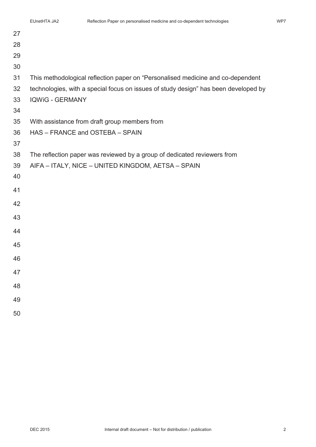| 27 |                                                                                     |
|----|-------------------------------------------------------------------------------------|
| 28 |                                                                                     |
| 29 |                                                                                     |
| 30 |                                                                                     |
| 31 | This methodological reflection paper on "Personalised medicine and co-dependent     |
| 32 | technologies, with a special focus on issues of study design" has been developed by |
| 33 | <b>IQWIG - GERMANY</b>                                                              |
| 34 |                                                                                     |
| 35 | With assistance from draft group members from                                       |
| 36 | HAS - FRANCE and OSTEBA - SPAIN                                                     |
| 37 |                                                                                     |
| 38 | The reflection paper was reviewed by a group of dedicated reviewers from            |
| 39 | AIFA - ITALY, NICE - UNITED KINGDOM, AETSA - SPAIN                                  |
| 40 |                                                                                     |
| 41 |                                                                                     |
| 42 |                                                                                     |
| 43 |                                                                                     |
| 44 |                                                                                     |
| 45 |                                                                                     |
| 46 |                                                                                     |
| 47 |                                                                                     |
| 48 |                                                                                     |
|    |                                                                                     |
| 49 |                                                                                     |
| 50 |                                                                                     |
|    |                                                                                     |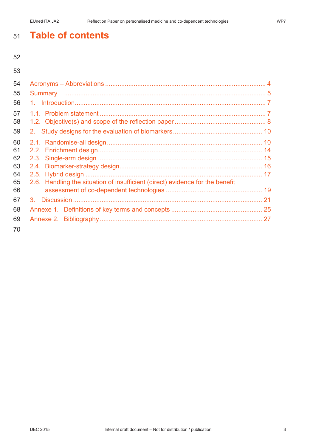# **Table of contents**

| 54 |                                                                               |  |
|----|-------------------------------------------------------------------------------|--|
| 55 |                                                                               |  |
| 56 |                                                                               |  |
| 57 |                                                                               |  |
| 58 |                                                                               |  |
| 59 |                                                                               |  |
| 60 |                                                                               |  |
| 61 |                                                                               |  |
| 62 |                                                                               |  |
| 63 |                                                                               |  |
| 64 |                                                                               |  |
| 65 | 2.6. Handling the situation of insufficient (direct) evidence for the benefit |  |
| 66 |                                                                               |  |
| 67 |                                                                               |  |
| 68 |                                                                               |  |
| 69 |                                                                               |  |
| 70 |                                                                               |  |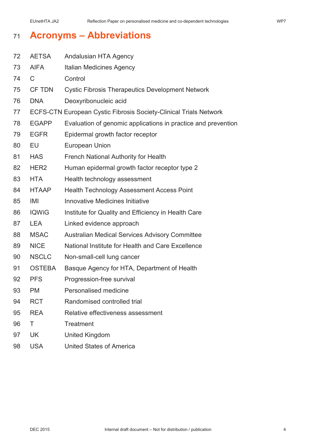# **Acronyms – Abbreviations**

| 72 | <b>AETSA</b>  | <b>Andalusian HTA Agency</b>                                             |
|----|---------------|--------------------------------------------------------------------------|
| 73 | <b>AIFA</b>   | <b>Italian Medicines Agency</b>                                          |
| 74 | $\mathsf C$   | Control                                                                  |
| 75 | <b>CF TDN</b> | <b>Cystic Fibrosis Therapeutics Development Network</b>                  |
| 76 | <b>DNA</b>    | Deoxyribonucleic acid                                                    |
| 77 |               | <b>ECFS-CTN European Cystic Fibrosis Society-Clinical Trials Network</b> |
| 78 | <b>EGAPP</b>  | Evaluation of genomic applications in practice and prevention            |
| 79 | <b>EGFR</b>   | Epidermal growth factor receptor                                         |
| 80 | EU            | <b>European Union</b>                                                    |
| 81 | <b>HAS</b>    | <b>French National Authority for Health</b>                              |
| 82 | HER2          | Human epidermal growth factor receptor type 2                            |
| 83 | <b>HTA</b>    | Health technology assessment                                             |
| 84 | <b>HTAAP</b>  | <b>Health Technology Assessment Access Point</b>                         |
| 85 | IMI           | <b>Innovative Medicines Initiative</b>                                   |
| 86 | <b>IQWiG</b>  | Institute for Quality and Efficiency in Health Care                      |
| 87 | <b>LEA</b>    | Linked evidence approach                                                 |
| 88 | <b>MSAC</b>   | <b>Australian Medical Services Advisory Committee</b>                    |
| 89 | <b>NICE</b>   | National Institute for Health and Care Excellence                        |
| 90 | <b>NSCLC</b>  | Non-small-cell lung cancer                                               |
| 91 | <b>OSTEBA</b> | Basque Agency for HTA, Department of Health                              |
| 92 | <b>PFS</b>    | Progression-free survival                                                |
| 93 | PM            | Personalised medicine                                                    |
| 94 | <b>RCT</b>    | Randomised controlled trial                                              |
| 95 | <b>REA</b>    | Relative effectiveness assessment                                        |
| 96 | Τ             | <b>Treatment</b>                                                         |
| 97 | UK            | <b>United Kingdom</b>                                                    |
| 98 | <b>USA</b>    | <b>United States of America</b>                                          |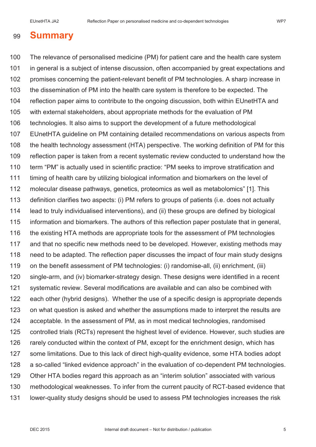# **Summary**

 The relevance of personalised medicine (PM) for patient care and the health care system in general is a subject of intense discussion, often accompanied by great expectations and 102 promises concerning the patient-relevant benefit of PM technologies. A sharp increase in the dissemination of PM into the health care system is therefore to be expected. The reflection paper aims to contribute to the ongoing discussion, both within EUnetHTA and with external stakeholders, about appropriate methods for the evaluation of PM technologies. It also aims to support the development of a future methodological EUnetHTA guideline on PM containing detailed recommendations on various aspects from 108 the health technology assessment (HTA) perspective. The working definition of PM for this reflection paper is taken from a recent systematic review conducted to understand how the term "PM" is actually used in scientific practice: "PM seeks to improve stratification and timing of health care by utilizing biological information and biomarkers on the level of molecular disease pathways, genetics, proteomics as well as metabolomics" [1]. This definition clarifies two aspects: (i) PM refers to groups of patients (i.e. does not actually lead to truly individualised interventions), and (ii) these groups are defined by biological information and biomarkers. The authors of this reflection paper postulate that in general, 116 the existing HTA methods are appropriate tools for the assessment of PM technologies and that no specific new methods need to be developed. However, existing methods may need to be adapted. The reflection paper discusses the impact of four main study designs on the benefit assessment of PM technologies: (i) randomise-all, (ii) enrichment, (iii) single-arm, and (iv) biomarker-strategy design. These designs were identified in a recent systematic review. Several modifications are available and can also be combined with each other (hybrid designs). Whether the use of a specific design is appropriate depends on what question is asked and whether the assumptions made to interpret the results are acceptable. In the assessment of PM, as in most medical technologies, randomised controlled trials (RCTs) represent the highest level of evidence. However, such studies are rarely conducted within the context of PM, except for the enrichment design, which has some limitations. Due to this lack of direct high-quality evidence, some HTA bodies adopt a so-called "linked evidence approach" in the evaluation of co-dependent PM technologies. Other HTA bodies regard this approach as an "interim solution" associated with various methodological weaknesses. To infer from the current paucity of RCT-based evidence that lower-quality study designs should be used to assess PM technologies increases the risk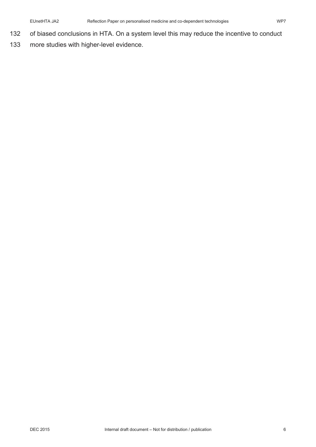- 132 of biased conclusions in HTA. On a system level this may reduce the incentive to conduct
- 133 more studies with higher-level evidence.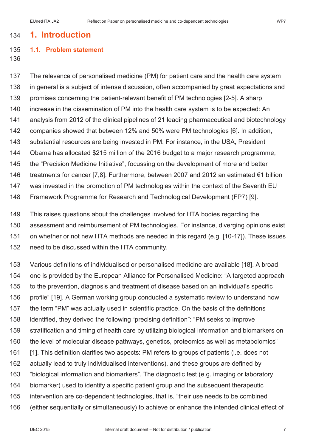# **1. Introduction**

### **1.1. Problem statement**

 The relevance of personalised medicine (PM) for patient care and the health care system in general is a subject of intense discussion, often accompanied by great expectations and promises concerning the patient-relevant benefit of PM technologies [2-5]. A sharp increase in the dissemination of PM into the health care system is to be expected: An analysis from 2012 of the clinical pipelines of 21 leading pharmaceutical and biotechnology companies showed that between 12% and 50% were PM technologies [6]. In addition, substantial resources are being invested in PM. For instance, in the USA, President Obama has allocated \$215 million of the 2016 budget to a major research programme, the "Precision Medicine Initiative", focussing on the development of more and better treatments for cancer [7,8]. Furthermore, between 2007 and 2012 an estimated €1 billion was invested in the promotion of PM technologies within the context of the Seventh EU Framework Programme for Research and Technological Development (FP7) [9].

 This raises questions about the challenges involved for HTA bodies regarding the assessment and reimbursement of PM technologies. For instance, diverging opinions exist on whether or not new HTA methods are needed in this regard (e.g. [10-17]). These issues need to be discussed within the HTA community.

 Various definitions of individualised or personalised medicine are available [18]. A broad one is provided by the European Alliance for Personalised Medicine: "A targeted approach to the prevention, diagnosis and treatment of disease based on an individual's specific profile" [19]. A German working group conducted a systematic review to understand how the term "PM" was actually used in scientific practice. On the basis of the definitions identified, they derived the following "precising definition": "PM seeks to improve stratification and timing of health care by utilizing biological information and biomarkers on the level of molecular disease pathways, genetics, proteomics as well as metabolomics" [1]. This definition clarifies two aspects: PM refers to groups of patients (i.e. does not actually lead to truly individualised interventions), and these groups are defined by "biological information and biomarkers". The diagnostic test (e.g. imaging or laboratory biomarker) used to identify a specific patient group and the subsequent therapeutic intervention are co-dependent technologies, that is, "their use needs to be combined (either sequentially or simultaneously) to achieve or enhance the intended clinical effect of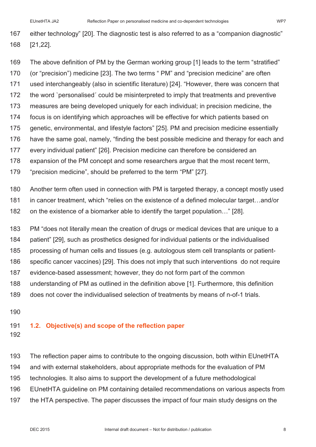either technology" [20]. The diagnostic test is also referred to as a "companion diagnostic" [21,22].

- The above definition of PM by the German working group [1] leads to the term "stratified" (or "precision") medicine [23]. The two terms " PM" and "precision medicine" are often used interchangeably (also in scientific literature) [24]. "However, there was concern that the word `personalised´ could be misinterpreted to imply that treatments and preventive measures are being developed uniquely for each individual; in precision medicine, the focus is on identifying which approaches will be effective for which patients based on genetic, environmental, and lifestyle factors" [25]. PM and precision medicine essentially have the same goal, namely, "finding the best possible medicine and therapy for each and every individual patient" [26]. Precision medicine can therefore be considered an expansion of the PM concept and some researchers argue that the most recent term, "precision medicine", should be preferred to the term "PM" [27].
- Another term often used in connection with PM is targeted therapy, a concept mostly used in cancer treatment, which "relies on the existence of a defined molecular target…and/or on the existence of a biomarker able to identify the target population…" [28].
- PM "does not literally mean the creation of drugs or medical devices that are unique to a
- patient" [29], such as prosthetics designed for individual patients or the individualised
- processing of human cells and tissues (e.g. autologous stem cell transplants or patient-
- specific cancer vaccines) [29]. This does not imply that such interventions do not require
- evidence-based assessment; however, they do not form part of the common
- understanding of PM as outlined in the definition above [1]. Furthermore, this definition
- does not cover the individualised selection of treatments by means of n-of-1 trials.
- 

### **1.2. Objective(s) and scope of the reflection paper**

 The reflection paper aims to contribute to the ongoing discussion, both within EUnetHTA and with external stakeholders, about appropriate methods for the evaluation of PM technologies. It also aims to support the development of a future methodological EUnetHTA guideline on PM containing detailed recommendations on various aspects from the HTA perspective. The paper discusses the impact of four main study designs on the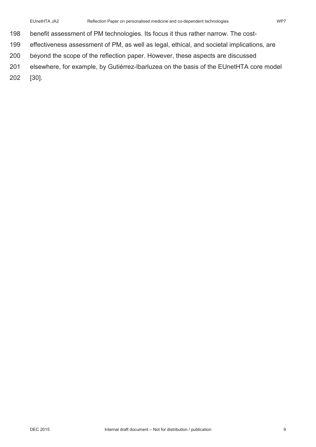- benefit assessment of PM technologies. Its focus it thus rather narrow. The cost-
- effectiveness assessment of PM, as well as legal, ethical, and societal implications, are
- beyond the scope of the reflection paper. However, these aspects are discussed
- elsewhere, for example, by Gutiérrez-Ibarluzea on the basis of the EUnetHTA core model
- [30].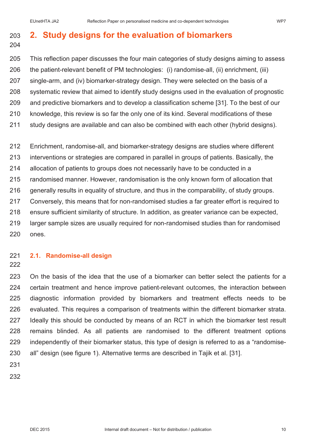# **2. Study designs for the evaluation of biomarkers**

- This reflection paper discusses the four main categories of study designs aiming to assess the patient-relevant benefit of PM technologies: (i) randomise-all, (ii) enrichment, (iii) single-arm, and (iv) biomarker-strategy design. They were selected on the basis of a systematic review that aimed to identify study designs used in the evaluation of prognostic and predictive biomarkers and to develop a classification scheme [31]. To the best of our knowledge, this review is so far the only one of its kind. Several modifications of these study designs are available and can also be combined with each other (hybrid designs).
- Enrichment, randomise-all, and biomarker-strategy designs are studies where different interventions or strategies are compared in parallel in groups of patients. Basically, the allocation of patients to groups does not necessarily have to be conducted in a randomised manner. However, randomisation is the only known form of allocation that generally results in equality of structure, and thus in the comparability, of study groups. Conversely, this means that for non-randomised studies a far greater effort is required to ensure sufficient similarity of structure. In addition, as greater variance can be expected, larger sample sizes are usually required for non-randomised studies than for randomised ones.
- 
- 

## **2.1. Randomise-all design**

 On the basis of the idea that the use of a biomarker can better select the patients for a certain treatment and hence improve patient-relevant outcomes, the interaction between diagnostic information provided by biomarkers and treatment effects needs to be evaluated. This requires a comparison of treatments within the different biomarker strata. Ideally this should be conducted by means of an RCT in which the biomarker test result remains blinded. As all patients are randomised to the different treatment options independently of their biomarker status, this type of design is referred to as a "randomise-all" design (see figure 1). Alternative terms are described in Tajik et al. [31].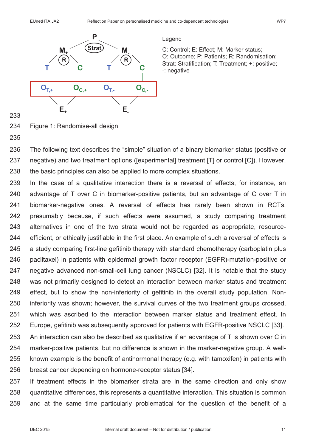

Legend

C: Control; E: Effect; M: Marker status; O: Outcome; P: Patients; R: Randomisation; Strat: Stratification; T: Treatment; +: positive; -: negative

- Figure 1: Randomise-all design
- 

 The following text describes the "simple" situation of a binary biomarker status (positive or negative) and two treatment options ([experimental] treatment [T] or control [C]). However, 238 the basic principles can also be applied to more complex situations.

 In the case of a qualitative interaction there is a reversal of effects, for instance, an advantage of T over C in biomarker-positive patients, but an advantage of C over T in biomarker-negative ones. A reversal of effects has rarely been shown in RCTs, presumably because, if such effects were assumed, a study comparing treatment alternatives in one of the two strata would not be regarded as appropriate, resource- efficient, or ethically justifiable in the first place. An example of such a reversal of effects is a study comparing first-line gefitinib therapy with standard chemotherapy (carboplatin plus paclitaxel) in patients with epidermal growth factor receptor (EGFR)-mutation-positive or negative advanced non-small-cell lung cancer (NSCLC) [32]. It is notable that the study was not primarily designed to detect an interaction between marker status and treatment effect, but to show the non-inferiority of gefitinib in the overall study population. Non- inferiority was shown; however, the survival curves of the two treatment groups crossed, which was ascribed to the interaction between marker status and treatment effect. In Europe, gefitinib was subsequently approved for patients with EGFR-positive NSCLC [33]. An interaction can also be described as qualitative if an advantage of T is shown over C in marker-positive patients, but no difference is shown in the marker-negative group. A well- known example is the benefit of antihormonal therapy (e.g. with tamoxifen) in patients with breast cancer depending on hormone-receptor status [34].

 If treatment effects in the biomarker strata are in the same direction and only show quantitative differences, this represents a quantitative interaction. This situation is common and at the same time particularly problematical for the question of the benefit of a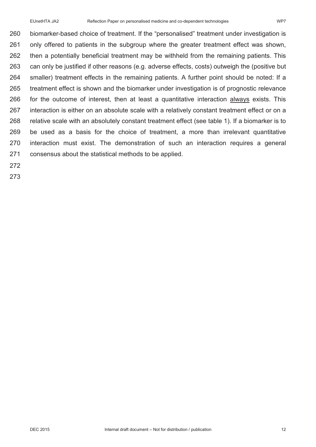biomarker-based choice of treatment. If the "personalised" treatment under investigation is only offered to patients in the subgroup where the greater treatment effect was shown, then a potentially beneficial treatment may be withheld from the remaining patients. This can only be justified if other reasons (e.g. adverse effects, costs) outweigh the (positive but smaller) treatment effects in the remaining patients. A further point should be noted: If a treatment effect is shown and the biomarker under investigation is of prognostic relevance for the outcome of interest, then at least a quantitative interaction always exists. This interaction is either on an absolute scale with a relatively constant treatment effect or on a relative scale with an absolutely constant treatment effect (see table 1). If a biomarker is to be used as a basis for the choice of treatment, a more than irrelevant quantitative interaction must exist. The demonstration of such an interaction requires a general consensus about the statistical methods to be applied.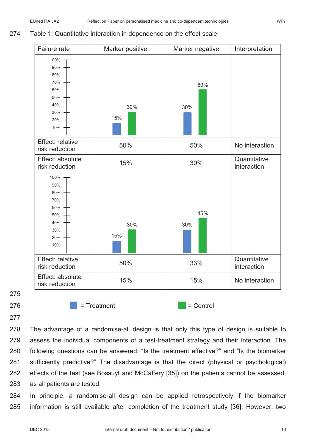### 274 Table 1: Quantitative interaction in dependence on the effect scale



275

277

 The advantage of a randomise-all design is that only this type of design is suitable to assess the individual components of a test-treatment strategy and their interaction. The following questions can be answered: "Is the treatment effective?" and "Is the biomarker sufficiently predictive?" The disadvantage is that the direct (physical or psychological) effects of the test (see Bossuyt and McCaffery [35]) on the patients cannot be assessed, as all patients are tested*.*

284 In principle, a randomise-all design can be applied retrospectively if the biomarker 285 information is still available after completion of the treatment study [36]. However, two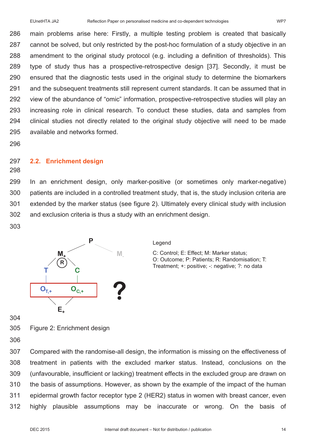main problems arise here: Firstly, a multiple testing problem is created that basically cannot be solved, but only restricted by the post-hoc formulation of a study objective in an amendment to the original study protocol (e.g. including a definition of thresholds). This type of study thus has a prospective-retrospective design [37]. Secondly, it must be ensured that the diagnostic tests used in the original study to determine the biomarkers and the subsequent treatments still represent current standards. It can be assumed that in view of the abundance of "omic" information, prospective-retrospective studies will play an increasing role in clinical research. To conduct these studies, data and samples from clinical studies not directly related to the original study objective will need to be made available and networks formed.

### **2.2. Enrichment design**

 In an enrichment design, only marker-positive (or sometimes only marker-negative) patients are included in a controlled treatment study, that is, the study inclusion criteria are extended by the marker status (see figure 2). Ultimately every clinical study with inclusion and exclusion criteria is thus a study with an enrichment design.



### Legend

C: Control; E: Effect; M: Marker status; O: Outcome; P: Patients; R: Randomisation; T: Treatment; +: positive; -: negative; ?: no data

Figure 2: Enrichment design

 Compared with the randomise-all design, the information is missing on the effectiveness of treatment in patients with the excluded marker status. Instead, conclusions on the (unfavourable, insufficient or lacking) treatment effects in the excluded group are drawn on the basis of assumptions. However, as shown by the example of the impact of the human epidermal growth factor receptor type 2 (HER2) status in women with breast cancer, even highly plausible assumptions may be inaccurate or wrong. On the basis of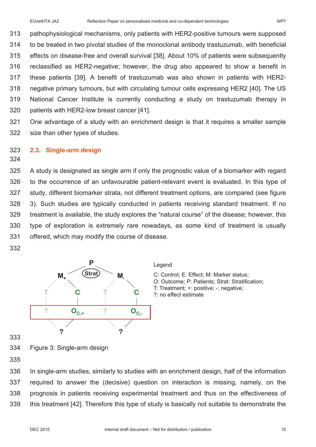pathophysiological mechanisms, only patients with HER2-positive tumours were supposed to be treated in two pivotal studies of the monoclonal antibody trastuzumab, with beneficial effects on disease-free and overall survival [38]. About 10% of patients were subsequently reclassified as HER2-negative; however, the drug also appeared to show a benefit in these patients [39]. A benefit of trastuzumab was also shown in patients with HER2- negative primary tumours, but with circulating tumour cells expressing HER2 [40]. The US National Cancer Institute is currently conducting a study on trastuzumab therapy in patients with HER2-low breast cancer [41].

 One advantage of a study with an enrichment design is that it requires a smaller sample size than other types of studies.

### **2.3. Single-arm design**

 A study is designated as single arm if only the prognostic value of a biomarker with regard to the occurrence of an unfavourable patient-relevant event is evaluated. In this type of study, different biomarker strata, not different treatment options, are compared (see figure 3). Such studies are typically conducted in patients receiving standard treatment. If no treatment is available, the study explores the "natural course" of the disease; however, this type of exploration is extremely rare nowadays, as some kind of treatment is usually offered, which may modify the course of disease.



- 
- Figure 3: Single-arm design

 In single-arm studies, similarly to studies with an enrichment design, half of the information required to answer the (decisive) question on interaction is missing, namely, on the prognosis in patients receiving experimental treatment and thus on the effectiveness of this treatment [42]. Therefore this type of study is basically not suitable to demonstrate the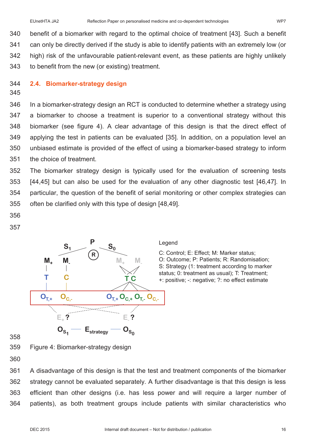benefit of a biomarker with regard to the optimal choice of treatment [43]. Such a benefit can only be directly derived if the study is able to identify patients with an extremely low (or high) risk of the unfavourable patient-relevant event, as these patients are highly unlikely to benefit from the new (or existing) treatment.

### 344 **2.4. Biomarker-strategy design**

### 345

 In a biomarker-strategy design an RCT is conducted to determine whether a strategy using a biomarker to choose a treatment is superior to a conventional strategy without this biomarker (see figure 4). A clear advantage of this design is that the direct effect of applying the test in patients can be evaluated [35]. In addition, on a population level an unbiased estimate is provided of the effect of using a biomarker-based strategy to inform the choice of treatment.

 The biomarker strategy design is typically used for the evaluation of screening tests [44,45] but can also be used for the evaluation of any other diagnostic test [46,47]. In particular, the question of the benefit of serial monitoring or other complex strategies can often be clarified only with this type of design [48,49].

- 356
- 357



### Legend

C: Control; E: Effect; M: Marker status; O: Outcome; P: Patients; R: Randomisation; S: Strategy (1: treatment according to marker status; 0: treatment as usual); T: Treatment; +: positive; -: negative; ?: no effect estimate

358

359 Figure 4: Biomarker-strategy design

360

 A disadvantage of this design is that the test and treatment components of the biomarker strategy cannot be evaluated separately. A further disadvantage is that this design is less efficient than other designs (i.e. has less power and will require a larger number of patients), as both treatment groups include patients with similar characteristics who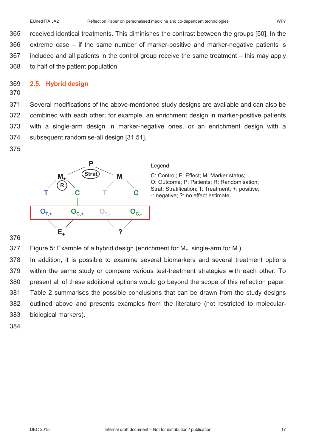received identical treatments. This diminishes the contrast between the groups [50]. In the extreme case – if the same number of marker-positive and marker-negative patients is included and all patients in the control group receive the same treatment – this may apply to half of the patient population.

### 369 **2.5. Hybrid design**

370

 Several modifications of the above-mentioned study designs are available and can also be combined with each other; for example, an enrichment design in marker-positive patients with a single-arm design in marker-negative ones, or an enrichment design with a subsequent randomise-all design [31,51].

375



### Legend

C: Control; E: Effect; M: Marker status; O: Outcome; P: Patients; R: Randomisation; Strat: Stratification; T: Treatment; +: positive; -: negative; ?: no effect estimate

376

377 Figure 5: Example of a hybrid design (enrichment for  $M_{+}$ , single-arm for M.)

 In addition, it is possible to examine several biomarkers and several treatment options within the same study or compare various test-treatment strategies with each other. To present all of these additional options would go beyond the scope of this reflection paper. Table 2 summarises the possible conclusions that can be drawn from the study designs outlined above and presents examples from the literature (not restricted to molecular-biological markers).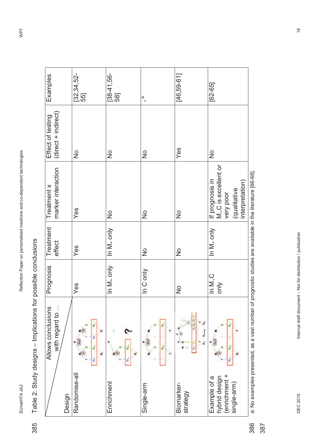EUnetHTA JA2

# Table 2: Study designs - Implications for possible conclusions Table 2: Study designs – Implications for possible conclusions 385

| Examples                                 | [32, 34, 52]<br>55]                                                       | $[38-41, 56-$<br>58]         | $\frac{1}{1}$              | $[46, 59 - 61]$                                                                                      | $[62 - 65]$                                                                             |
|------------------------------------------|---------------------------------------------------------------------------|------------------------------|----------------------------|------------------------------------------------------------------------------------------------------|-----------------------------------------------------------------------------------------|
| (direct + indirect)<br>Effect of testing | $\frac{1}{2}$                                                             | $\frac{1}{2}$                | $\frac{\circ}{\mathsf{Z}}$ | Yes                                                                                                  | $\frac{1}{2}$                                                                           |
| marker interaction<br>Treatment x        | Yes                                                                       | $\frac{1}{2}$                | $\frac{\circ}{\mathsf{Z}}$ | $\frac{1}{2}$                                                                                        | If prognosis in<br>M.,C is excellent or<br>interpretation)<br>(qualitative<br>very poor |
| Treatment<br>effect                      | Yes                                                                       | In $M_+$ only                | $\frac{1}{2}$              | $\frac{1}{2}$                                                                                        | In $M_+$ only                                                                           |
| Prognosis                                | Yes                                                                       | In M <sub>+</sub> only       | In C only                  | $\frac{1}{2}$                                                                                        | In M., C<br>only                                                                        |
| with regard to<br>Allows conclusions     | o<br>z©<br>ш<br>ď<br>(Birak<br>o <sub>c</sub> .<br>s®<br>o <sub>r</sub> . | o.<br>z©<br>o <sub>i</sub> . | ő<br>Sin<br>င်္            | <b>O<sub>L</sub></b> , O <sub>C</sub> , O <sub>L</sub><br>ő<br>Estratogy<br>$\circ$<br>۵.<br>ď<br>o. | ő<br>ő<br>≤©<br>ò,                                                                      |
| Design                                   | Randomise-all                                                             | Enrichment                   | Single-arm                 | Biomarker-<br>strategy                                                                               | (enrichment +<br>single-arm)<br>hybrid design<br>Example of a                           |

a: No examples presented, as a vast number of prognostic studies are available in the literature [66-68]. a: No examples presented, as a vast number of prognostic studies are available in the literature [66-68]. 386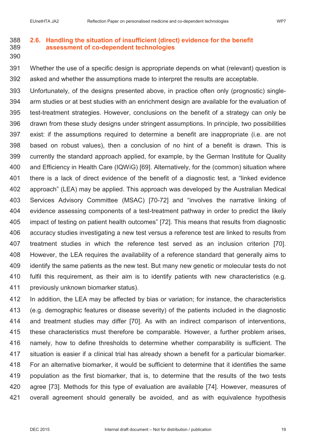### **2.6. Handling the situation of insufficient (direct) evidence for the benefit assessment of co-dependent technologies**

 Whether the use of a specific design is appropriate depends on what (relevant) question is asked and whether the assumptions made to interpret the results are acceptable.

 Unfortunately, of the designs presented above, in practice often only (prognostic) single- arm studies or at best studies with an enrichment design are available for the evaluation of test-treatment strategies. However, conclusions on the benefit of a strategy can only be drawn from these study designs under stringent assumptions. In principle, two possibilities exist: if the assumptions required to determine a benefit are inappropriate (i.e. are not based on robust values), then a conclusion of no hint of a benefit is drawn. This is currently the standard approach applied, for example, by the German Institute for Quality and Efficiency in Health Care (IQWiG) [69]. Alternatively, for the (common) situation where there is a lack of direct evidence of the benefit of a diagnostic test, a "linked evidence approach" (LEA) may be applied. This approach was developed by the Australian Medical Services Advisory Committee (MSAC) [70-72] and "involves the narrative linking of evidence assessing components of a test-treatment pathway in order to predict the likely impact of testing on patient health outcomes" [72]. This means that results from diagnostic accuracy studies investigating a new test versus a reference test are linked to results from treatment studies in which the reference test served as an inclusion criterion [70]. However, the LEA requires the availability of a reference standard that generally aims to identify the same patients as the new test. But many new genetic or molecular tests do not fulfil this requirement, as their aim is to identify patients with new characteristics (e.g. previously unknown biomarker status).

 In addition, the LEA may be affected by bias or variation; for instance, the characteristics (e.g. demographic features or disease severity) of the patients included in the diagnostic and treatment studies may differ [70]. As with an indirect comparison of interventions, these characteristics must therefore be comparable. However, a further problem arises, namely, how to define thresholds to determine whether comparability is sufficient. The situation is easier if a clinical trial has already shown a benefit for a particular biomarker. For an alternative biomarker, it would be sufficient to determine that it identifies the same population as the first biomarker, that is, to determine that the results of the two tests agree [73]. Methods for this type of evaluation are available [74]. However, measures of overall agreement should generally be avoided, and as with equivalence hypothesis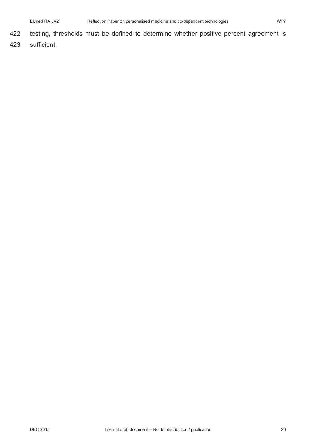- 422 testing, thresholds must be defined to determine whether positive percent agreement is
- 423 sufficient.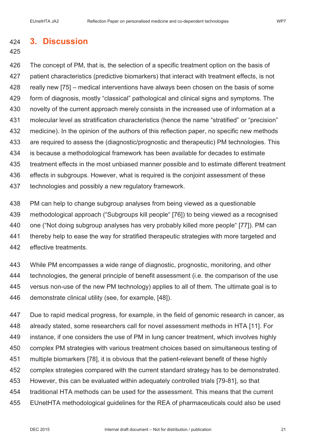### **3. Discussion**

### 

 The concept of PM, that is, the selection of a specific treatment option on the basis of patient characteristics (predictive biomarkers) that interact with treatment effects, is not really new [75] – medical interventions have always been chosen on the basis of some form of diagnosis, mostly "classical" pathological and clinical signs and symptoms. The novelty of the current approach merely consists in the increased use of information at a molecular level as stratification characteristics (hence the name "stratified" or "precision" medicine). In the opinion of the authors of this reflection paper, no specific new methods are required to assess the (diagnostic/prognostic and therapeutic) PM technologies. This is because a methodological framework has been available for decades to estimate treatment effects in the most unbiased manner possible and to estimate different treatment effects in subgroups. However, what is required is the conjoint assessment of these technologies and possibly a new regulatory framework.

 PM can help to change subgroup analyses from being viewed as a questionable methodological approach ("Subgroups kill people" [76]) to being viewed as a recognised one ("Not doing subgroup analyses has very probably killed more people" [77]). PM can 441 thereby help to ease the way for stratified therapeutic strategies with more targeted and effective treatments.

 While PM encompasses a wide range of diagnostic, prognostic, monitoring, and other 444 technologies, the general principle of benefit assessment (i.e. the comparison of the use versus non-use of the new PM technology) applies to all of them. The ultimate goal is to demonstrate clinical utility (see, for example, [48]).

 Due to rapid medical progress, for example, in the field of genomic research in cancer, as already stated, some researchers call for novel assessment methods in HTA [11]. For instance, if one considers the use of PM in lung cancer treatment, which involves highly complex PM strategies with various treatment choices based on simultaneous testing of multiple biomarkers [78], it is obvious that the patient-relevant benefit of these highly complex strategies compared with the current standard strategy has to be demonstrated. However, this can be evaluated within adequately controlled trials [79-81], so that traditional HTA methods can be used for the assessment. This means that the current EUnetHTA methodological guidelines for the REA of pharmaceuticals could also be used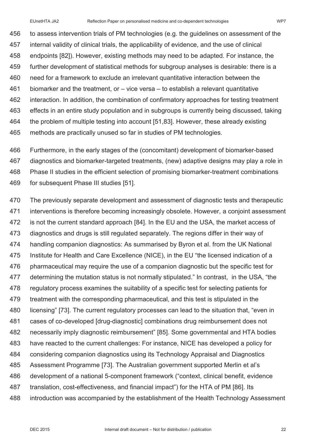to assess intervention trials of PM technologies (e.g. the guidelines on assessment of the internal validity of clinical trials, the applicability of evidence, and the use of clinical endpoints [82]). However, existing methods may need to be adapted. For instance, the further development of statistical methods for subgroup analyses is desirable: there is a need for a framework to exclude an irrelevant quantitative interaction between the biomarker and the treatment, or – vice versa – to establish a relevant quantitative interaction. In addition, the combination of confirmatory approaches for testing treatment effects in an entire study population and in subgroups is currently being discussed, taking the problem of multiple testing into account [51,83]. However, these already existing methods are practically unused so far in studies of PM technologies.

 Furthermore, in the early stages of the (concomitant) development of biomarker-based diagnostics and biomarker-targeted treatments, (new) adaptive designs may play a role in Phase II studies in the efficient selection of promising biomarker-treatment combinations for subsequent Phase III studies [51].

 The previously separate development and assessment of diagnostic tests and therapeutic interventions is therefore becoming increasingly obsolete. However, a conjoint assessment is not the current standard approach [84]. In the EU and the USA, the market access of diagnostics and drugs is still regulated separately. The regions differ in their way of handling companion diagnostics: As summarised by Byron et al. from the UK National Institute for Health and Care Excellence (NICE), in the EU "the licensed indication of a pharmaceutical may require the use of a companion diagnostic but the specific test for determining the mutation status is not normally stipulated." In contrast, in the USA, "the regulatory process examines the suitability of a specific test for selecting patients for treatment with the corresponding pharmaceutical, and this test is stipulated in the licensing" [73]. The current regulatory processes can lead to the situation that, "even in cases of co-developed [drug-diagnostic] combinations drug reimbursement does not necessarily imply diagnostic reimbursement" [85]. Some governmental and HTA bodies have reacted to the current challenges: For instance, NICE has developed a policy for considering companion diagnostics using its Technology Appraisal and Diagnostics Assessment Programme [73]. The Australian government supported Merlin et al's development of a national 5-component framework ("context, clinical benefit, evidence translation, cost-effectiveness, and financial impact") for the HTA of PM [86]. Its introduction was accompanied by the establishment of the Health Technology Assessment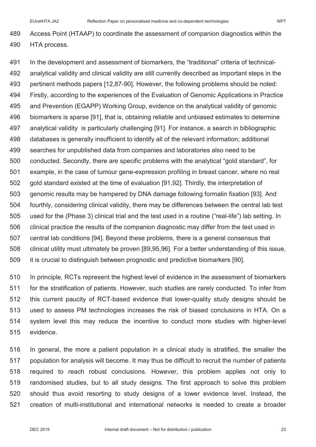Access Point (HTAAP) to coordinate the assessment of companion diagnostics within the HTA process.

 In the development and assessment of biomarkers, the "traditional" criteria of technical- analytical validity and clinical validity are still currently described as important steps in the pertinent methods papers [12,87-90]. However, the following problems should be noted: Firstly, according to the experiences of the Evaluation of Genomic Applications in Practice and Prevention (EGAPP) Working Group, evidence on the analytical validity of genomic biomarkers is sparse [91], that is, obtaining reliable and unbiased estimates to determine analytical validity is particularly challenging [91]. For instance, a search in bibliographic databases is generally insufficient to identify all of the relevant information; additional searches for unpublished data from companies and laboratories also need to be conducted. Secondly, there are specific problems with the analytical "gold standard", for example, in the case of tumour gene-expression profiling in breast cancer, where no real 502 gold standard existed at the time of evaluation [91,92]. Thirdly, the interpretation of genomic results may be hampered by DNA damage following formalin fixation [93]. And fourthly, considering clinical validity, there may be differences between the central lab test used for the (Phase 3) clinical trial and the test used in a routine ("real-life") lab setting. In clinical practice the results of the companion diagnostic may differ from the test used in central lab conditions [94]. Beyond these problems, there is a general consensus that clinical utility must ultimately be proven [89,95,96]. For a better understanding of this issue, it is crucial to distinguish between prognostic and predictive biomarkers [90].

 In principle, RCTs represent the highest level of evidence in the assessment of biomarkers for the stratification of patients. However, such studies are rarely conducted. To infer from this current paucity of RCT-based evidence that lower-quality study designs should be used to assess PM technologies increases the risk of biased conclusions in HTA. On a system level this may reduce the incentive to conduct more studies with higher-level evidence.

 In general, the more a patient population in a clinical study is stratified, the smaller the population for analysis will become. It may thus be difficult to recruit the number of patients required to reach robust conclusions. However, this problem applies not only to randomised studies, but to all study designs. The first approach to solve this problem should thus avoid resorting to study designs of a lower evidence level. Instead, the creation of multi-institutional and international networks is needed to create a broader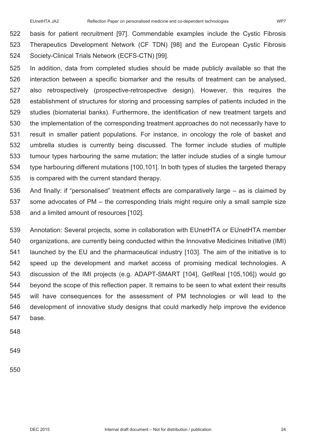basis for patient recruitment [97]. Commendable examples include the Cystic Fibrosis Therapeutics Development Network (CF TDN) [98] and the European Cystic Fibrosis Society-Clinical Trials Network (ECFS-CTN) [99].

- In addition, data from completed studies should be made publicly available so that the interaction between a specific biomarker and the results of treatment can be analysed, also retrospectively (prospective-retrospective design). However, this requires the establishment of structures for storing and processing samples of patients included in the studies (biomaterial banks). Furthermore, the identification of new treatment targets and the implementation of the corresponding treatment approaches do not necessarily have to result in smaller patient populations. For instance, in oncology the role of basket and umbrella studies is currently being discussed. The former include studies of multiple tumour types harbouring the same mutation; the latter include studies of a single tumour type harbouring different mutations [100,101]. In both types of studies the targeted therapy is compared with the current standard therapy.
- And finally: if "personalised" treatment effects are comparatively large as is claimed by some advocates of PM – the corresponding trials might require only a small sample size and a limited amount of resources [102].
- Annotation: Several projects, some in collaboration with EUnetHTA or EUnetHTA member organizations, are currently being conducted within the Innovative Medicines Initiative (IMI) launched by the EU and the pharmaceutical industry [103]. The aim of the initiative is to speed up the development and market access of promising medical technologies. A discussion of the IMI projects (e.g. ADAPT-SMART [104], GetReal [105,106]) would go beyond the scope of this reflection paper. It remains to be seen to what extent their results will have consequences for the assessment of PM technologies or will lead to the development of innovative study designs that could markedly help improve the evidence base.
- 
-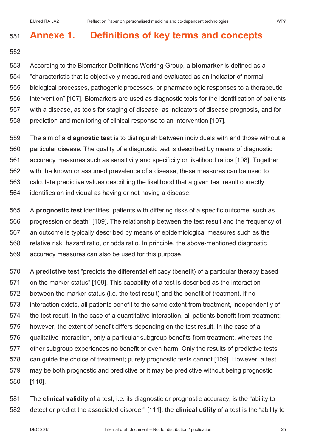# **Annexe 1. Definitions of key terms and concepts**

 According to the Biomarker Definitions Working Group, a **biomarker** is defined as a "characteristic that is objectively measured and evaluated as an indicator of normal biological processes, pathogenic processes, or pharmacologic responses to a therapeutic intervention" [107]. Biomarkers are used as diagnostic tools for the identification of patients with a disease, as tools for staging of disease, as indicators of disease prognosis, and for prediction and monitoring of clinical response to an intervention [107].

 The aim of a **diagnostic test** is to distinguish between individuals with and those without a particular disease. The quality of a diagnostic test is described by means of diagnostic accuracy measures such as sensitivity and specificity or likelihood ratios [108]. Together with the known or assumed prevalence of a disease, these measures can be used to calculate predictive values describing the likelihood that a given test result correctly identifies an individual as having or not having a disease.

 A **prognostic test** identifies "patients with differing risks of a specific outcome, such as progression or death" [109]. The relationship between the test result and the frequency of an outcome is typically described by means of epidemiological measures such as the relative risk, hazard ratio, or odds ratio. In principle, the above-mentioned diagnostic accuracy measures can also be used for this purpose.

 A **predictive test** "predicts the differential efficacy (benefit) of a particular therapy based on the marker status" [109]. This capability of a test is described as the interaction between the marker status (i.e. the test result) and the benefit of treatment. If no interaction exists, all patients benefit to the same extent from treatment, independently of the test result. In the case of a quantitative interaction, all patients benefit from treatment; however, the extent of benefit differs depending on the test result. In the case of a qualitative interaction, only a particular subgroup benefits from treatment, whereas the other subgroup experiences no benefit or even harm. Only the results of predictive tests can guide the choice of treatment; purely prognostic tests cannot [109]. However, a test may be both prognostic and predictive or it may be predictive without being prognostic [110].

 The **clinical validity** of a test, i.e. its diagnostic or prognostic accuracy, is the "ability to detect or predict the associated disorder" [111]; the **clinical utility** of a test is the "ability to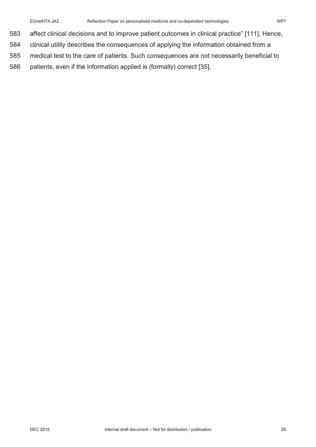- affect clinical decisions and to improve patient outcomes in clinical practice" [111]. Hence,
- clinical utility describes the consequences of applying the information obtained from a
- medical test to the care of patients. Such consequences are not necessarily beneficial to
- patients, even if the information applied is (formally) correct [35].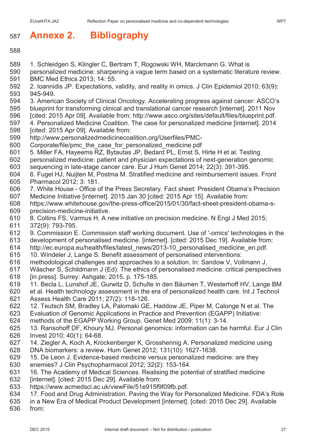# **Annexe 2. Bibliography**

- 
- 1. Schleidgen S, Klingler C, Bertram T, Rogowski WH, Marckmann G. What is
- personalized medicine: sharpening a vague term based on a systematic literature review. BMC Med Ethics 2013; 14: 55.
- 2. Ioannidis JP. Expectations, validity, and reality in omics. J Clin Epidemiol 2010; 63(9): 945-949.
- 3. American Society of Clinical Oncology. Accelerating progress against cancer: ASCO's
- blueprint for transforming clinical and translational cancer research [internet]. 2011 Nov
- [cited: 2015 Apr 09]. Available from: http://www.asco.org/sites/default/files/blueprint.pdf.
- 4. Personalized Medicine Coalition. The case for personalized medicine [internet]. 2014 [cited: 2015 Apr 09]. Available from:
- http://www.personalizedmedicinecoalition.org/Userfiles/PMC-
- Corporate/file/pmc\_the\_case\_for\_personalized\_medicine.pdf
- 5. Miller FA, Hayeems RZ, Bytautas JP, Bedard PL, Ernst S, Hirte H et al. Testing
- personalized medicine: patient and physician expectations of next-generation genomic sequencing in late-stage cancer care. Eur J Hum Genet 2014; 22(3): 391-395.
- 6. Fugel HJ, Nuijten M, Postma M. Stratified medicine and reimbursement issues. Front Pharmacol 2012; 3: 181.
- 7. White House Office of the Press Secretary. Fact sheet: President Obama's Precision Medicine Initiative [internet]. 2015 Jan 30 [cited: 2015 Apr 15]. Available from:
- https://www.whitehouse.gov/the-press-office/2015/01/30/fact-sheet-president-obama-s-precision-medicine-initiative.
- 8. Collins FS, Varmus H. A new initiative on precision medicine. N Engl J Med 2015; 372(9): 793-795.
- 9. Commission E. Commission staff working document. Use of '-omics' technologies in the
- development of personalised medicine. [internet]. [cited: 2015 Dec 19]. Available from:
- http://ec.europa.eu/health/files/latest\_news/2013-10\_personalised\_medicine\_en.pdf.
- 10. Windeler J, Lange S. Benefit assessment of personalised interventions:
- methodological challenges and approaches to a solution. In: Sandow V, Vollmann J,
- Wäscher S, Schildmann J (Ed). The ethics of personalised medicine: critical perspectives [in press]. Surrey: Ashgate; 2015. p. 175-185.
- 11. Becla L, Lunshof JE, Gurwitz D, Schulte in den Bäumen T, Westerhoff HV, Lange BM
- et al. Health technology assessment in the era of personalized health care. Int J Technol Assess Health Care 2011; 27(2): 118-126.
- 12. Teutsch SM, Bradley LA, Palomaki GE, Haddow JE, Piper M, Calonge N et al. The
- Evaluation of Genomic Applications in Practice and Prevention (EGAPP) Initiative:
- methods of the EGAPP Working Group. Genet Med 2009; 11(1): 3-14.
- 13. Ransohoff DF, Khoury MJ. Personal genomics: information can be harmful. Eur J Clin Invest 2010; 40(1): 64-68.
- 14. Ziegler A, Koch A, Krockenberger K, Grosshennig A. Personalized medicine using
- DNA biomarkers: a review. Hum Genet 2012; 131(10): 1627-1638.
- 15. De Leon J. Evidence-based medicine versus personalized medicine: are they enemies? J Clin Psychopharmacol 2012; 32(2): 153-164.
- 16. The Academy of Medical Sciences. Realising the potential of stratified medicine
- [internet]. [cited: 2015 Dec 29]. Available from:
- https://www.acmedsci.ac.uk/viewFile/51e915f9f09fb.pdf.
- 17. Food and Drug Administration. Paving the Way for Personalized Medicine. FDA's Role
- in a New Era of Medical Product Development [internet]. [cited: 2015 Dec 29]. Available

from: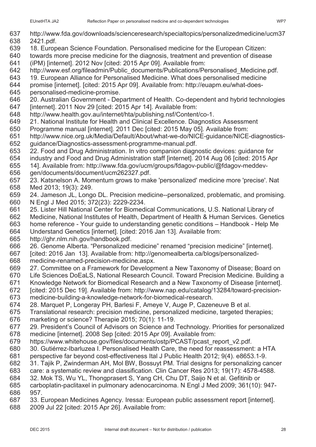- http://www.fda.gov/downloads/scienceresearch/specialtopics/personalizedmedicine/ucm37
- 2421.pdf.
- 18. European Science Foundation. Personalised medicine for the European Citizen:
- towards more precise medicine for the diagnosis, treatment and prevention of disease (iPM) [internet]. 2012 Nov [cited: 2015 Apr 09]. Available from:
- 642 http://www.esf.org/fileadmin/Public\_documents/Publications/Personalised\_Medicine.pdf.
- 19. European Alliance for Personalised Medicine. What does personalised medicine
- promise [internet]. [cited: 2015 Apr 09]. Available from: http://euapm.eu/what-does-
- personalised-medicine-promise.
- 20. Australian Government Department of Health. Co-dependent and hybrid technologies [internet]. 2011 Nov 29 [cited: 2015 Apr 14]. Available from:
- http://www.health.gov.au/internet/hta/publishing.nsf/Content/co-1.
- 21. National Institute for Health and Clinical Excellence. Diagnostics Assessment
- Programme manual [internet]. 2011 Dec [cited: 2015 May 05]. Available from:
- http://www.nice.org.uk/Media/Default/About/what-we-do/NICE-guidance/NICE-diagnostics-guidance/Diagnostics-assessment-programme-manual.pdf.
- 22. Food and Drug Administration. In vitro companion diagnostic devices: guidance for
- industry and Food and Drug Administration staff [internet]. 2014 Aug 06 [cited: 2015 Apr
- 14]. Available from: http://www.fda.gov/ucm/groups/fdagov-public/@fdagov-meddev-
- gen/documents/document/ucm262327.pdf.
- 23. Katsnelson A. Momentum grows to make 'personalized' medicine more 'precise'. Nat Med 2013; 19(3): 249.
- 24. Jameson JL, Longo DL. Precision medicine--personalized, problematic, and promising. N Engl J Med 2015; 372(23): 2229-2234.
- 25. Lister Hill National Center for Biomedical Communications, U.S. National Library of
- Medicine, National Institutes of Health, Department of Health & Human Services. Genetics
- home reference Your guide to understanding genetic conditions Handbook Help Me
- Understand Genetics [internet]. [cited: 2016 Jan 13]. Available from:
- http://ghr.nlm.nih.gov/handbook.pdf.
- 26. Genome Alberta. "Personalized medicine" renamed "precision medicine" [internet].
- [cited: 2016 Jan 13]. Available from: http://genomealberta.ca/blogs/personalized-
- medicine-renamed-precision-medicine.aspx.
- 27. Committee on a Framework for Development a New Taxonomy of Disease; Board on
- Life Sciences DoEaLS, National Research Council. Toward Precision Medicine. Building a
- Knowledge Network for Biomedical Research and a New Taxonomy of Disease [internet].
- [cited: 2015 Dec 19]. Available from: http://www.nap.edu/catalog/13284/toward-precision-medicine-building-a-knowledge-network-for-biomedical-research.
- 28. Marquet P, Longeray PH, Barlesi F, Ameye V, Auge P, Cazeneuve B et al.
- Translational research: precision medicine, personalized medicine, targeted therapies;
- marketing or science? Therapie 2015; 70(1): 11-19.
- 29. President's Council of Advisors on Science and Technology. Priorities for personalized medicine [internet]. 2008 Sep [cited: 2015 Apr 09]. Available from:
- https://www.whitehouse.gov/files/documents/ostp/PCAST/pcast\_report\_v2.pdf.
- 30. Gutiérrez-Ibarluzea I. Personalised Health Care, the need for reassessment: a HTA
- perspective far beyond cost-effectiveness Ital J Public Health 2012; 9(4). e8653.1-9. 31. Tajik P, Zwinderman AH, Mol BW, Bossuyt PM. Trial designs for personalizing cancer
- care: a systematic review and classification. Clin Cancer Res 2013; 19(17): 4578-4588.
- 32. Mok TS, Wu YL, Thongprasert S, Yang CH, Chu DT, Saijo N et al. Gefitinib or
- carboplatin-paclitaxel in pulmonary adenocarcinoma. N Engl J Med 2009; 361(10): 947- 957.
- 33. European Medicines Agency. Iressa: European public assessment report [internet].
- 2009 Jul 22 [cited: 2015 Apr 26]. Available from: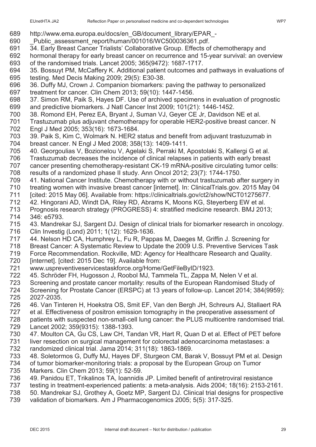- http://www.ema.europa.eu/docs/en\_GB/document\_library/EPAR\_-
- 690 Public assessment report/human/001016/WC500036361.pdf.
- 34. Early Breast Cancer Trialists' Collaborative Group. Effects of chemotherapy and
- hormonal therapy for early breast cancer on recurrence and 15-year survival: an overview of the randomised trials. Lancet 2005; 365(9472): 1687-1717.
- 35. Bossuyt PM, McCaffery K. Additional patient outcomes and pathways in evaluations of testing. Med Decis Making 2009; 29(5): E30-38.
- 36. Duffy MJ, Crown J. Companion biomarkers: paving the pathway to personalized
- treatment for cancer. Clin Chem 2013; 59(10): 1447-1456.
- 37. Simon RM, Paik S, Hayes DF. Use of archived specimens in evaluation of prognostic and predictive biomarkers. J Natl Cancer Inst 2009; 101(21): 1446-1452.
- 38. Romond EH, Perez EA, Bryant J, Suman VJ, Geyer CE Jr, Davidson NE et al.
- Trastuzumab plus adjuvant chemotherapy for operable HER2-positive breast cancer. N Engl J Med 2005; 353(16): 1673-1684.
- 39. Paik S, Kim C, Wolmark N. HER2 status and benefit from adjuvant trastuzumab in breast cancer. N Engl J Med 2008; 358(13): 1409-1411.
- 40. Georgoulias V, Bozionelou V, Agelaki S, Perraki M, Apostolaki S, Kallergi G et al.
- Trastuzumab decreases the incidence of clinical relapses in patients with early breast
- cancer presenting chemotherapy-resistant CK-19 mRNA-positive circulating tumor cells:
- results of a randomized phase II study. Ann Oncol 2012; 23(7): 1744-1750.
- 41. National Cancer Institute. Chemotherapy with or without trastuzumab after surgery in
- treating women with invasive breast cancer [internet]. In: ClinicalTrials.gov. 2015 May 04 [cited: 2015 May 06]. Available from: https://clinicaltrials.gov/ct2/show/NCT01275677.
- 42. Hingorani AD, Windt DA, Riley RD, Abrams K, Moons KG, Steyerberg EW et al.
- Prognosis research strategy (PROGRESS) 4: stratified medicine research. BMJ 2013; 346: e5793.
- 43. Mandrekar SJ, Sargent DJ. Design of clinical trials for biomarker research in oncology. Clin Investig (Lond) 2011; 1(12): 1629-1636.
- 44. Nelson HD CA, Humphrey L, Fu R, Pappas M, Daeges M, Griffin J. Screening for
- Breast Cancer: A Systematic Review to Update the 2009 U.S. Preventive Services Task
- Force Recommendation. Rockville, MD: Agency for Healthcare Research and Quality.
- 720 [internet]. [cited: 2015 Dec 19]. Available from:
- www.uspreventiveservicestaskforce.org/Home/GetFileByID/1923.
- 45. Schröder FH, Hugosson J, Roobol MJ, Tammela TL, Zappa M, Nelen V et al.
- Screening and prostate cancer mortality: results of the European Randomised Study of
- Screening for Prostate Cancer (ERSPC) at 13 years of follow-up. Lancet 2014; 384(9959): 2027-2035.
- 46. Van Tinteren H, Hoekstra OS, Smit EF, Van den Bergh JH, Schreurs AJ, Stallaert RA
- et al. Effectiveness of positron emission tomography in the preoperative assessment of
- patients with suspected non-small-cell lung cancer: the PLUS multicentre randomised trial. Lancet 2002; 359(9315): 1388-1393.
- 47. Moulton CA, Gu CS, Law CH, Tandan VR, Hart R, Quan D et al. Effect of PET before
- liver resection on surgical management for colorectal adenocarcinoma metastases: a randomized clinical trial. Jama 2014; 311(18): 1863-1869.
- 48. Soletormos G, Duffy MJ, Hayes DF, Sturgeon CM, Barak V, Bossuyt PM et al. Design of tumor biomarker-monitoring trials: a proposal by the European Group on Tumor
- Markers. Clin Chem 2013; 59(1): 52-59.
- 49. Panidou ET, Trikalinos TA, Ioannidis JP. Limited benefit of antiretroviral resistance
- testing in treatment-experienced patients: a meta-analysis. Aids 2004; 18(16): 2153-2161.
- 50. Mandrekar SJ, Grothey A, Goetz MP, Sargent DJ. Clinical trial designs for prospective
- validation of biomarkers. Am J Pharmacogenomics 2005; 5(5): 317-325.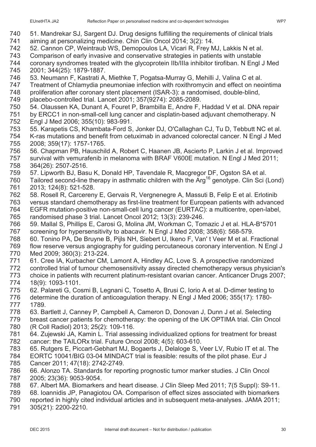- aiming at personalizing medicine. Chin Clin Oncol 2014; 3(2): 14.
- 52. Cannon CP, Weintraub WS, Demopoulos LA, Vicari R, Frey MJ, Lakkis N et al.
- Comparison of early invasive and conservative strategies in patients with unstable
- coronary syndromes treated with the glycoprotein IIb/IIIa inhibitor tirofiban. N Engl J Med 2001; 344(25): 1879-1887.
- 53. Neumann F, Kastrati A, Miethke T, Pogatsa-Murray G, Mehilli J, Valina C et al.
- Treatment of Chlamydia pneumoniae infection with roxithromycin and effect on neointima
- proliferation after coronary stent placement (ISAR-3): a randomised, double-blind,
- placebo-controlled trial. Lancet 2001; 357(9274): 2085-2089.
- 54. Olaussen KA, Dunant A, Fouret P, Brambilla E, Andre F, Haddad V et al. DNA repair
- by ERCC1 in non-small-cell lung cancer and cisplatin-based adjuvant chemotherapy. N Engl J Med 2006; 355(10): 983-991.
- 55. Karapetis CS, Khambata-Ford S, Jonker DJ, O'Callaghan CJ, Tu D, Tebbutt NC et al. K-ras mutations and benefit from cetuximab in advanced colorectal cancer. N Engl J Med
- 2008; 359(17): 1757-1765.
- 56. Chapman PB, Hauschild A, Robert C, Haanen JB, Ascierto P, Larkin J et al. Improved
- survival with vemurafenib in melanoma with BRAF V600E mutation. N Engl J Med 2011; 364(26): 2507-2516.
- 57. Lipworth BJ, Basu K, Donald HP, Tavendale R, Macgregor DF, Ogston SA et al.
- 760 Tailored second-line therapy in asthmatic children with the  $Ara^{16}$  genotype. Clin Sci (Lond) 2013; 124(8): 521-528.
- 58. Rosell R, Carcereny E, Gervais R, Vergnenegre A, Massuti B, Felip E et al. Erlotinib
- versus standard chemotherapy as first-line treatment for European patients with advanced
- EGFR mutation-positive non-small-cell lung cancer (EURTAC): a multicentre, open-label, randomised phase 3 trial. Lancet Oncol 2012; 13(3): 239-246.
- 59. Mallal S, Phillips E, Carosi G, Molina JM, Workman C, Tomazic J et al. HLA-B\*5701 screening for hypersensitivity to abacavir. N Engl J Med 2008; 358(6): 568-579.
- 60. Tonino PA, De Bruyne B, Pijls NH, Siebert U, Ikeno F, Van' t Veer M et al. Fractional
- flow reserve versus angiography for guiding percutaneous coronary intervention. N Engl J Med 2009; 360(3): 213-224.
- 61. Cree IA, Kurbacher CM, Lamont A, Hindley AC, Love S. A prospective randomized
- controlled trial of tumour chemosensitivity assay directed chemotherapy versus physician's
- 773 choice in patients with recurrent platinum-resistant ovarian cancer. Anticancer Drugs 2007;<br>774 18(9): 1093-1101. 18(9): 1093-1101.
- 62. Palareti G, Cosmi B, Legnani C, Tosetto A, Brusi C, Iorio A et al. D-dimer testing to
- determine the duration of anticoagulation therapy. N Engl J Med 2006; 355(17): 1780- 1789.
- 63. Bartlett J, Canney P, Campbell A, Cameron D, Donovan J, Dunn J et al. Selecting
- breast cancer patients for chemotherapy: the opening of the UK OPTIMA trial. Clin Oncol (R Coll Radiol) 2013; 25(2): 109-116.
- 64. Zujewski JA, Kamin L. Trial assessing individualized options for treatment for breast cancer: the TAILORx trial. Future Oncol 2008; 4(5): 603-610.
- 65. Rutgers E, Piccart-Gebhart MJ, Bogaerts J, Delaloge S, Veer LV, Rubio IT et al. The
- EORTC 10041/BIG 03-04 MINDACT trial is feasible: results of the pilot phase. Eur J Cancer 2011; 47(18): 2742-2749.
- 66. Alonzo TA. Standards for reporting prognostic tumor marker studies. J Clin Oncol 2005; 23(36): 9053-9054.
- 67. Albert MA. Biomarkers and heart disease. J Clin Sleep Med 2011; 7(5 Suppl): S9-11.
- 68. Ioannidis JP, Panagiotou OA. Comparison of effect sizes associated with biomarkers
- reported in highly cited individual articles and in subsequent meta-analyses. JAMA 2011;
- 305(21): 2200-2210.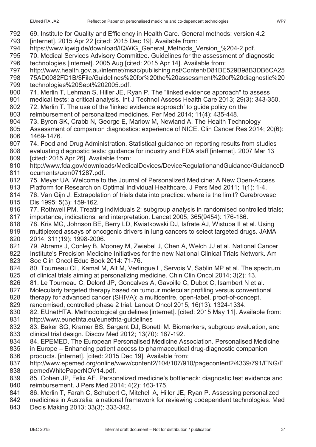- 69. Institute for Quality and Efficiency in Health Care. General methods: version 4.2
- [internet]. 2015 Apr 22 [cited: 2015 Dec 19]. Available from:
- 794 https://www.iqwig.de/download/IQWiG General Methods Version %204-2.pdf.
- 70. Medical Services Advisory Committee. Guidelines for the assessment of diagnostic
- technologies [internet]. 2005 Aug [cited: 2015 Apr 14]. Available from:
- http://www.health.gov.au/internet/msac/publishing.nsf/Content/D81BE529B98B3DB6CA25
- 75AD0082FD1B/\$File/Guidelines%20for%20the%20assessment%20of%20diagnostic%20 technologies%20Sept%202005.pdf.
- 71. Merlin T, Lehman S, Hiller JE, Ryan P. The "linked evidence approach" to assess
- medical tests: a critical analysis. Int J Technol Assess Health Care 2013; 29(3): 343-350.
- 72. Merlin T. The use of the 'linked evidence approach' to guide policy on the
- reimbursement of personalized medicines. Per Med 2014; 11(4): 435-448.
- 73. Byron SK, Crabb N, George E, Marlow M, Newland A. The Health Technology
- Assessment of companion diagnostics: experience of NICE. Clin Cancer Res 2014; 20(6): 1469-1476.
- 74. Food and Drug Administration. Statistical guidance on reporting results from studies
- evaluating diagnostic tests: guidance for industry and FDA staff [internet]. 2007 Mar 13
- 809 [cited: 2015 Apr 26]. Available from:
- http://www.fda.gov/downloads/MedicalDevices/DeviceRegulationandGuidance/GuidanceD ocuments/ucm071287.pdf.
- 75. Meyer UA. Welcome to the Journal of Personalized Medicine: A New Open-Access
- Platform for Research on Optimal Individual Healthcare. J Pers Med 2011; 1(1): 1-4.
- 76. Van Gijn J. Extrapolation of trials data into practice: where is the limit? Cerebrovasc
- Dis 1995; 5(3): 159-162.
- 77. Rothwell PM. Treating individuals 2: subgroup analysis in randomised controlled trials; importance, indications, and interpretation. Lancet 2005; 365(9454): 176-186.
- 78. Kris MG, Johnson BE, Berry LD, Kwiatkowski DJ, Iafrate AJ, Wistuba II et al. Using
- multiplexed assays of oncogenic drivers in lung cancers to select targeted drugs. JAMA 2014; 311(19): 1998-2006.
- 79. Abrams J, Conley B, Mooney M, Zwiebel J, Chen A, Welch JJ et al. National Cancer Institute's Precision Medicine Initiatives for the new National Clinical Trials Network. Am Soc Clin Oncol Educ Book 2014: 71-76.
- 824 80. Tourneau CL, Kamal M, Alt M, Verlingue L, Servois V, Sablin MP et al. The spectrum of clinical trials aiming at personalizing medicine. Chin Clin Oncol 2014; 3(2): 13.
- 826 81. Le Tourneau C, Delord JP, Goncalves A, Gavoille C, Dubot C, Isambert N et al.
- Molecularly targeted therapy based on tumour molecular profiling versus conventional
- therapy for advanced cancer (SHIVA): a multicentre, open-label, proof-of-concept,
- randomised, controlled phase 2 trial. Lancet Oncol 2015; 16(13): 1324-1334.
- 82. EUnetHTA. Methodological guidelines [internet]. [cited: 2015 May 11]. Available from: http://www.eunethta.eu/eunethta-guidelines
- 83. Baker SG, Kramer BS, Sargent DJ, Bonetti M. Biomarkers, subgroup evaluation, and clinical trial design. Discov Med 2012; 13(70): 187-192.
- 84. EPEMED. The European Personalised Medicine Association. Personalised Medicine
- in Europe Enhancing patient access to pharmaceutical drug-diagnostic companion products. [internet]. [cited: 2015 Dec 19]. Available from:
- http://www.epemed.org/online/www/content2/104/107/910/pagecontent2/4339/791/ENG/E pemedWhitePaperNOV14.pdf.
- 85. Cohen JP, Felix AE. Personalized medicine's bottleneck: diagnostic test evidence and reimbursement. J Pers Med 2014; 4(2): 163-175.
- 86. Merlin T, Farah C, Schubert C, Mitchell A, Hiller JE, Ryan P. Assessing personalized
- medicines in Australia: a national framework for reviewing codependent technologies. Med
- Decis Making 2013; 33(3): 333-342.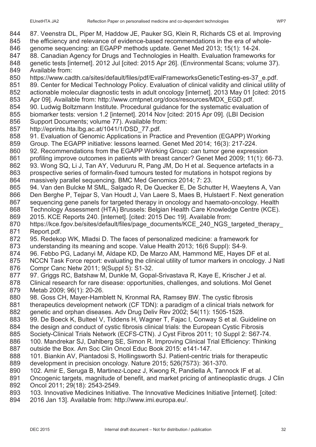- 87. Veenstra DL, Piper M, Haddow JE, Pauker SG, Klein R, Richards CS et al. Improving
- 845 the efficiency and relevance of evidence-based recommendations in the era of whole-
- genome sequencing: an EGAPP methods update. Genet Med 2013; 15(1): 14-24.
- 88. Canadian Agency for Drugs and Technologies in Health. Evaluation frameworks for genetic tests [internet]. 2012 Jul [cited: 2015 Apr 26]. (Environmental Scans; volume 37).
- Available from:
- https://www.cadth.ca/sites/default/files/pdf/EvalFrameworksGeneticTesting-es-37\_e.pdf.
- 851 89. Center for Medical Technology Policy. Evaluation of clinical validity and clinical utility of
- actionable molecular diagnostic tests in adult oncology [internet]. 2013 May 01 [cited: 2015
- Apr 09]. Available from: http://www.cmtpnet.org/docs/resources/MDX\_EGD.pdf.
- 90. Ludwig Boltzmann Institute. Procedural guidance for the systematic evaluation of
- biomarker tests: version 1.2 [internet]. 2014 Nov [cited: 2015 Apr 09]. (LBI Decision
- Support Documents; volume 77). Available from:
- http://eprints.hta.lbg.ac.at/1041/1/DSD\_77.pdf.
- 91. Evaluation of Genomic Applications in Practice and Prevention (EGAPP) Working
- Group. The EGAPP initiative: lessons learned. Genet Med 2014; 16(3): 217-224.
- 92. Recommendations from the EGAPP Working Group: can tumor gene expression
- profiling improve outcomes in patients with breast cancer? Genet Med 2009; 11(1): 66-73.
- 93. Wong SQ, Li J, Tan AY, Vedururu R, Pang JM, Do H et al. Sequence artefacts in a
- prospective series of formalin-fixed tumours tested for mutations in hotspot regions by massively parallel sequencing. BMC Med Genomics 2014; 7: 23.
- 94. Van den Bulcke M SML, Salgado R, De Quecker E, De Schutter H, Waeytens A, Van
- Den Berghe P, Tejpar S, Van Houdt J, Van Laere S, Maes B, Hulstaert F. Next generation sequencing gene panels for targeted therapy in oncology and haemato-oncology. Health
- Technology Assessment (HTA) Brussels: Belgian Health Care Knowledge Centre (KCE).
- 2015. KCE Reports 240. [internet]. [cited: 2015 Dec 19]. Available from:
- 870 https://kce.fgov.be/sites/default/files/page\_documents/KCE\_240\_NGS\_targeted\_therapy Report.pdf.
- 95. Redekop WK, Mladsi D. The faces of personalized medicine: a framework for
- understanding its meaning and scope. Value Health 2013; 16(6 Suppl): S4-9.
- 96. Febbo PG, Ladanyi M, Aldape KD, De Marzo AM, Hammond ME, Hayes DF et al.
- NCCN Task Force report: evaluating the clinical utility of tumor markers in oncology. J Natl Compr Canc Netw 2011; 9(Suppl 5): S1-32.
- 97. Griggs RC, Batshaw M, Dunkle M, Gopal-Srivastava R, Kaye E, Krischer J et al.
- Clinical research for rare disease: opportunities, challenges, and solutions. Mol Genet
- Metab 2009; 96(1): 20-26.
- 98. Goss CH, Mayer-Hamblett N, Kronmal RA, Ramsey BW. The cystic fibrosis
- 881 therapeutics development network (CF TDN): a paradigm of a clinical trials network for 882 genetic and orphan diseases. Adv Drug Deliv Rev 2002; 54(11): 1505-1528.
- 99. De Boeck K, Bulteel V, Tiddens H, Wagner T, Fajac I, Conway S et al. Guideline on
- the design and conduct of cystic fibrosis clinical trials: the European Cystic Fibrosis
- Society-Clinical Trials Network (ECFS-CTN). J Cyst Fibros 2011; 10 Suppl 2: S67-74.
- 100. Mandrekar SJ, Dahlberg SE, Simon R. Improving Clinical Trial Efficiency: Thinking outside the Box. Am Soc Clin Oncol Educ Book 2015: e141-147.
- 101. Biankin AV, Piantadosi S, Hollingsworth SJ. Patient-centric trials for therapeutic development in precision oncology. Nature 2015; 526(7573): 361-370.
- 102. Amir E, Seruga B, Martinez-Lopez J, Kwong R, Pandiella A, Tannock IF et al.
- Oncogenic targets, magnitude of benefit, and market pricing of antineoplastic drugs. J Clin Oncol 2011; 29(18): 2543-2549.
- 103. Innovative Medicines Initiative. The Innovative Medicines Initiative [internet]. [cited:
- 2016 Jan 13]. Available from: http://www.imi.europa.eu/.